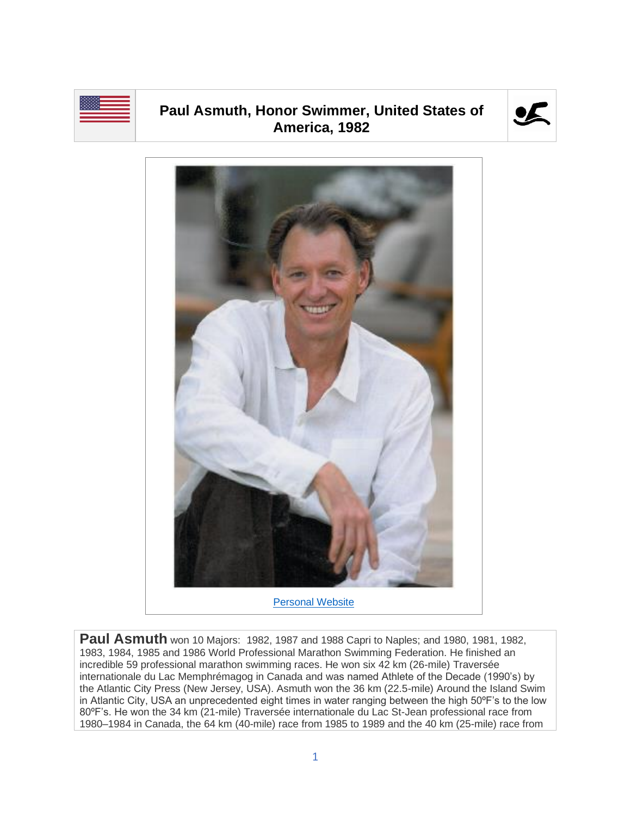

## **Paul Asmuth, Honor Swimmer, United States of America, 1982**





**Paul Asmuth** won 10 Majors: 1982, 1987 and 1988 Capri to Naples; and 1980, 1981, 1982, 1983, 1984, 1985 and 1986 World Professional Marathon Swimming Federation. He finished an incredible 59 professional marathon swimming races. He won six 42 km (26-mile) Traversée internationale du Lac Memphrémagog in Canada and was named Athlete of the Decade (1990's) by the Atlantic City Press (New Jersey, USA). Asmuth won the 36 km (22.5-mile) Around the Island Swim in Atlantic City, USA an unprecedented eight times in water ranging between the high 50ºF's to the low 80ºF's. He won the 34 km (21-mile) Traversée internationale du Lac St-Jean professional race from 1980–1984 in Canada, the 64 km (40-mile) race from 1985 to 1989 and the 40 km (25-mile) race from